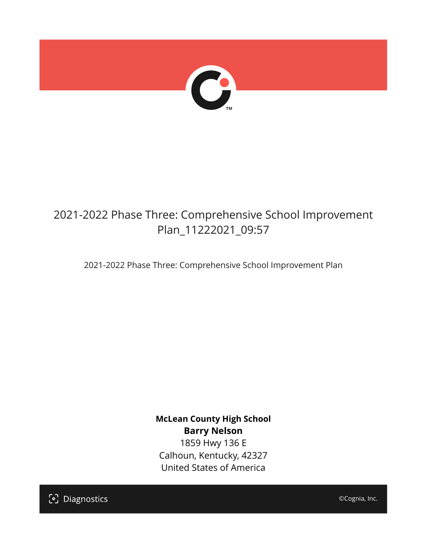

# 2021-2022 Phase Three: Comprehensive School Improvement Plan\_11222021\_09:57

2021-2022 Phase Three: Comprehensive School Improvement Plan

**McLean County High School Barry Nelson** 1859 Hwy 136 E Calhoun, Kentucky, 42327 United States of America

[၁] Diagnostics

©Cognia, Inc.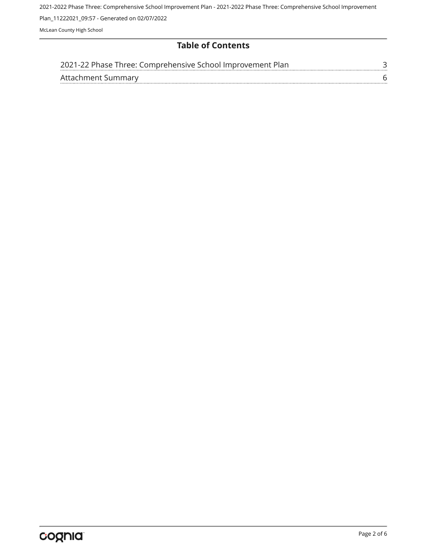### **Table of Contents**

| 2021-22 Phase Three: Comprehensive School Improvement Plan |  |
|------------------------------------------------------------|--|
| Attachment Summary                                         |  |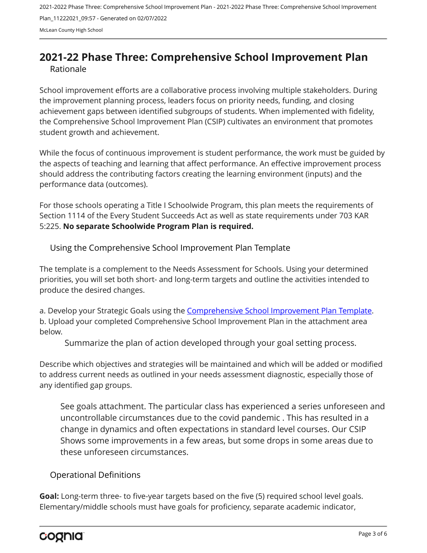## <span id="page-2-0"></span>**2021-22 Phase Three: Comprehensive School Improvement Plan** Rationale

School improvement efforts are a collaborative process involving multiple stakeholders. During the improvement planning process, leaders focus on priority needs, funding, and closing achievement gaps between identified subgroups of students. When implemented with fidelity, the Comprehensive School Improvement Plan (CSIP) cultivates an environment that promotes student growth and achievement.

While the focus of continuous improvement is student performance, the work must be guided by the aspects of teaching and learning that affect performance. An effective improvement process should address the contributing factors creating the learning environment (inputs) and the performance data (outcomes).

For those schools operating a Title I Schoolwide Program, this plan meets the requirements of Section 1114 of the Every Student Succeeds Act as well as state requirements under 703 KAR 5:225. **No separate Schoolwide Program Plan is required.**

Using the Comprehensive School Improvement Plan Template

The template is a complement to the Needs Assessment for Schools. Using your determined priorities, you will set both short- and long-term targets and outline the activities intended to produce the desired changes.

a. Develop your Strategic Goals using the [Comprehensive School Improvement Plan Template](https://education.ky.gov/school/csip/Documents/KDE Comprehensive Improvement Plan for School.docx). b. Upload your completed Comprehensive School Improvement Plan in the attachment area below.

Summarize the plan of action developed through your goal setting process.

Describe which objectives and strategies will be maintained and which will be added or modified to address current needs as outlined in your needs assessment diagnostic, especially those of any identified gap groups.

See goals attachment. The particular class has experienced a series unforeseen and uncontrollable circumstances due to the covid pandemic . This has resulted in a change in dynamics and often expectations in standard level courses. Our CSIP Shows some improvements in a few areas, but some drops in some areas due to these unforeseen circumstances.

Operational Definitions

**Goal:** Long-term three- to five-year targets based on the five (5) required school level goals. Elementary/middle schools must have goals for proficiency, separate academic indicator,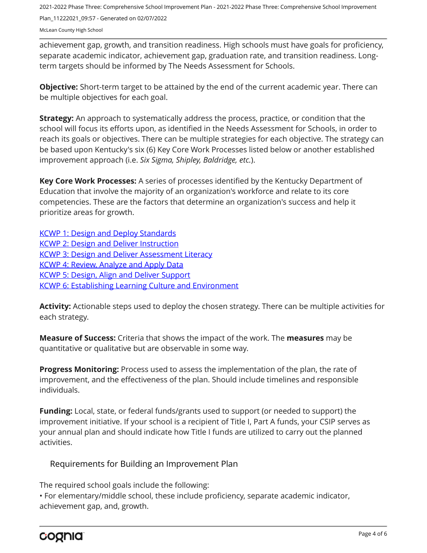achievement gap, growth, and transition readiness. High schools must have goals for proficiency, separate academic indicator, achievement gap, graduation rate, and transition readiness. Longterm targets should be informed by The Needs Assessment for Schools.

**Objective:** Short-term target to be attained by the end of the current academic year. There can be multiple objectives for each goal.

**Strategy:** An approach to systematically address the process, practice, or condition that the school will focus its efforts upon, as identified in the Needs Assessment for Schools, in order to reach its goals or objectives. There can be multiple strategies for each objective. The strategy can be based upon Kentucky's six (6) Key Core Work Processes listed below or another established improvement approach (i.e. *Six Sigma, Shipley, Baldridge, etc.*).

**Key Core Work Processes:** A series of processes identified by the Kentucky Department of Education that involve the majority of an organization's workforce and relate to its core competencies. These are the factors that determine an organization's success and help it prioritize areas for growth.

[KCWP 1: Design and Deploy Standards](https://education.ky.gov/school/csip/Documents/KCWP%201%20Strategic%20Design%20and%20Deploy%20Standards.pdf) [KCWP 2: Design and Deliver Instruction](https://education.ky.gov/school/csip/Documents/KCWP%202%20Strategic%20Design%20and%20Deliver%20Instruction.pdf) [KCWP 3: Design and Deliver Assessment Literacy](https://education.ky.gov/school/csip/Documents/KCWP%203%20Strategic%20Design%20and%20Deliver%20Assessment%20Literacy.pdf) [KCWP 4: Review, Analyze and Apply Data](https://education.ky.gov/school/csip/Documents/KCWP%204%20Strategic%20Review%20Analyze%20and%20Apply%20Data.pdf) [KCWP 5: Design, Align and Deliver Support](https://education.ky.gov/school/csip/Documents/KCWP%205%20Strategic%20Design%20Align%20Deliver%20Support%20Processes.pdf) [KCWP 6: Establishing Learning Culture and Environment](https://education.ky.gov/school/csip/Documents/KCWP%206%20Strategic%20Establish%20Learning%20Culture%20and%20Environment.pdf)

**Activity:** Actionable steps used to deploy the chosen strategy. There can be multiple activities for each strategy.

**Measure of Success:** Criteria that shows the impact of the work. The **measures** may be quantitative or qualitative but are observable in some way.

**Progress Monitoring:** Process used to assess the implementation of the plan, the rate of improvement, and the effectiveness of the plan. Should include timelines and responsible individuals.

**Funding:** Local, state, or federal funds/grants used to support (or needed to support) the improvement initiative. If your school is a recipient of Title I, Part A funds, your CSIP serves as your annual plan and should indicate how Title I funds are utilized to carry out the planned activities.

### Requirements for Building an Improvement Plan

The required school goals include the following:

• For elementary/middle school, these include proficiency, separate academic indicator, achievement gap, and, growth.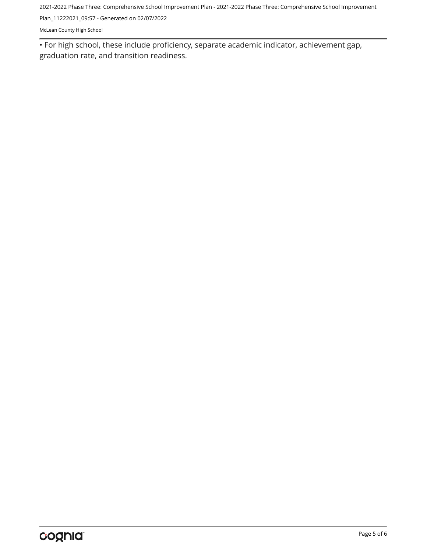2021-2022 Phase Three: Comprehensive School Improvement Plan - 2021-2022 Phase Three: Comprehensive School Improvement

Plan\_11222021\_09:57 - Generated on 02/07/2022

McLean County High School

• For high school, these include proficiency, separate academic indicator, achievement gap, graduation rate, and transition readiness.